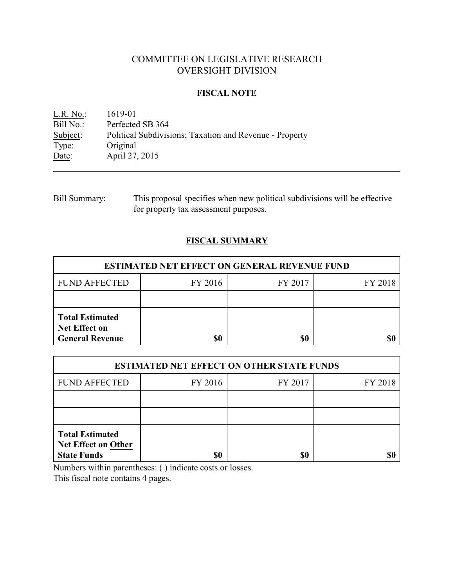# COMMITTEE ON LEGISLATIVE RESEARCH OVERSIGHT DIVISION

### **FISCAL NOTE**

<u>L.R. No.</u>: 1619-01<br>Bill No.: Perfected Bill No.: Perfected SB 364<br>Subject: Political Subdivisi Subject: Political Subdivisions; Taxation and Revenue - Property Type: Original Type: Original<br>Date: April 27, April 27, 2015

| Bill Summary: | This proposal specifies when new political subdivisions will be effective |
|---------------|---------------------------------------------------------------------------|
|               | for property tax assessment purposes.                                     |

## **FISCAL SUMMARY**

| <b>ESTIMATED NET EFFECT ON GENERAL REVENUE FUND</b>                      |         |         |         |  |
|--------------------------------------------------------------------------|---------|---------|---------|--|
| <b>FUND AFFECTED</b>                                                     | FY 2016 | FY 2017 | FY 2018 |  |
|                                                                          |         |         |         |  |
| <b>Total Estimated</b><br><b>Net Effect on</b><br><b>General Revenue</b> | \$0     | \$0     |         |  |

| <b>ESTIMATED NET EFFECT ON OTHER STATE FUNDS</b>                           |         |         |         |  |
|----------------------------------------------------------------------------|---------|---------|---------|--|
| <b>FUND AFFECTED</b>                                                       | FY 2016 | FY 2017 | FY 2018 |  |
|                                                                            |         |         |         |  |
|                                                                            |         |         |         |  |
| <b>Total Estimated</b><br><b>Net Effect on Other</b><br><b>State Funds</b> | \$0     | \$0     |         |  |

Numbers within parentheses: ( ) indicate costs or losses.

This fiscal note contains 4 pages.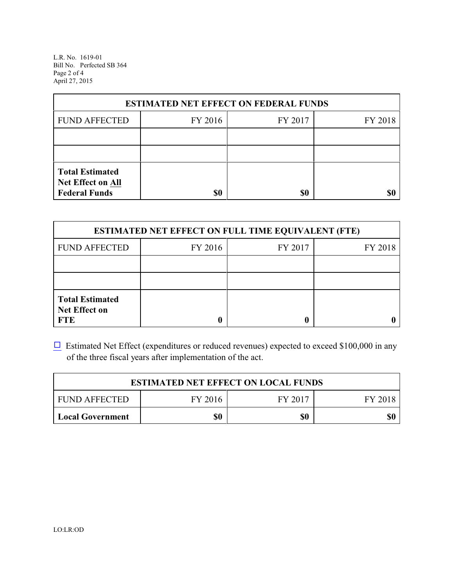L.R. No. 1619-01 Bill No. Perfected SB 364 Page 2 of 4 April 27, 2015

| <b>ESTIMATED NET EFFECT ON FEDERAL FUNDS</b>                        |         |         |         |  |
|---------------------------------------------------------------------|---------|---------|---------|--|
| <b>FUND AFFECTED</b>                                                | FY 2016 | FY 2017 | FY 2018 |  |
|                                                                     |         |         |         |  |
|                                                                     |         |         |         |  |
| <b>Total Estimated</b><br>Net Effect on All<br><b>Federal Funds</b> | \$0     | \$0     |         |  |

| <b>ESTIMATED NET EFFECT ON FULL TIME EQUIVALENT (FTE)</b>    |         |         |         |  |
|--------------------------------------------------------------|---------|---------|---------|--|
| <b>FUND AFFECTED</b>                                         | FY 2016 | FY 2017 | FY 2018 |  |
|                                                              |         |         |         |  |
|                                                              |         |         |         |  |
| <b>Total Estimated</b><br><b>Net Effect on</b><br><b>FTE</b> |         |         |         |  |

 $\Box$  Estimated Net Effect (expenditures or reduced revenues) expected to exceed \$100,000 in any of the three fiscal years after implementation of the act.

| <b>ESTIMATED NET EFFECT ON LOCAL FUNDS</b> |         |         |         |
|--------------------------------------------|---------|---------|---------|
| <b>FUND AFFECTED</b>                       | FY 2016 | FY 2017 | FY 2018 |
| <b>Local Government</b>                    | \$0     | \$0     | \$0     |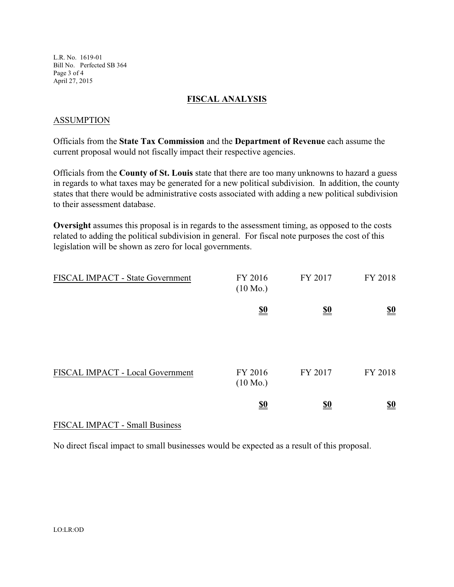L.R. No. 1619-01 Bill No. Perfected SB 364 Page 3 of 4 April 27, 2015

#### **FISCAL ANALYSIS**

### ASSUMPTION

Officials from the **State Tax Commission** and the **Department of Revenue** each assume the current proposal would not fiscally impact their respective agencies.

Officials from the **County of St. Louis** state that there are too many unknowns to hazard a guess in regards to what taxes may be generated for a new political subdivision. In addition, the county states that there would be administrative costs associated with adding a new political subdivision to their assessment database.

**Oversight** assumes this proposal is in regards to the assessment timing, as opposed to the costs related to adding the political subdivision in general. For fiscal note purposes the cost of this legislation will be shown as zero for local governments.

| FISCAL IMPACT - State Government | FY 2016<br>$(10 \text{ Mo.})$ | FY 2017                       | FY 2018                       |
|----------------------------------|-------------------------------|-------------------------------|-------------------------------|
|                                  | $\underline{\underline{\$0}}$ | $\underline{\underline{\$0}}$ | $\underline{\underline{\$0}}$ |
| FISCAL IMPACT - Local Government | FY 2016<br>$(10 \text{ Mo.})$ | FY 2017                       | FY 2018                       |
|                                  | $\underline{\underline{\$0}}$ | <u>\$0</u>                    | $\underline{\$0}$             |

#### FISCAL IMPACT - Small Business

No direct fiscal impact to small businesses would be expected as a result of this proposal.